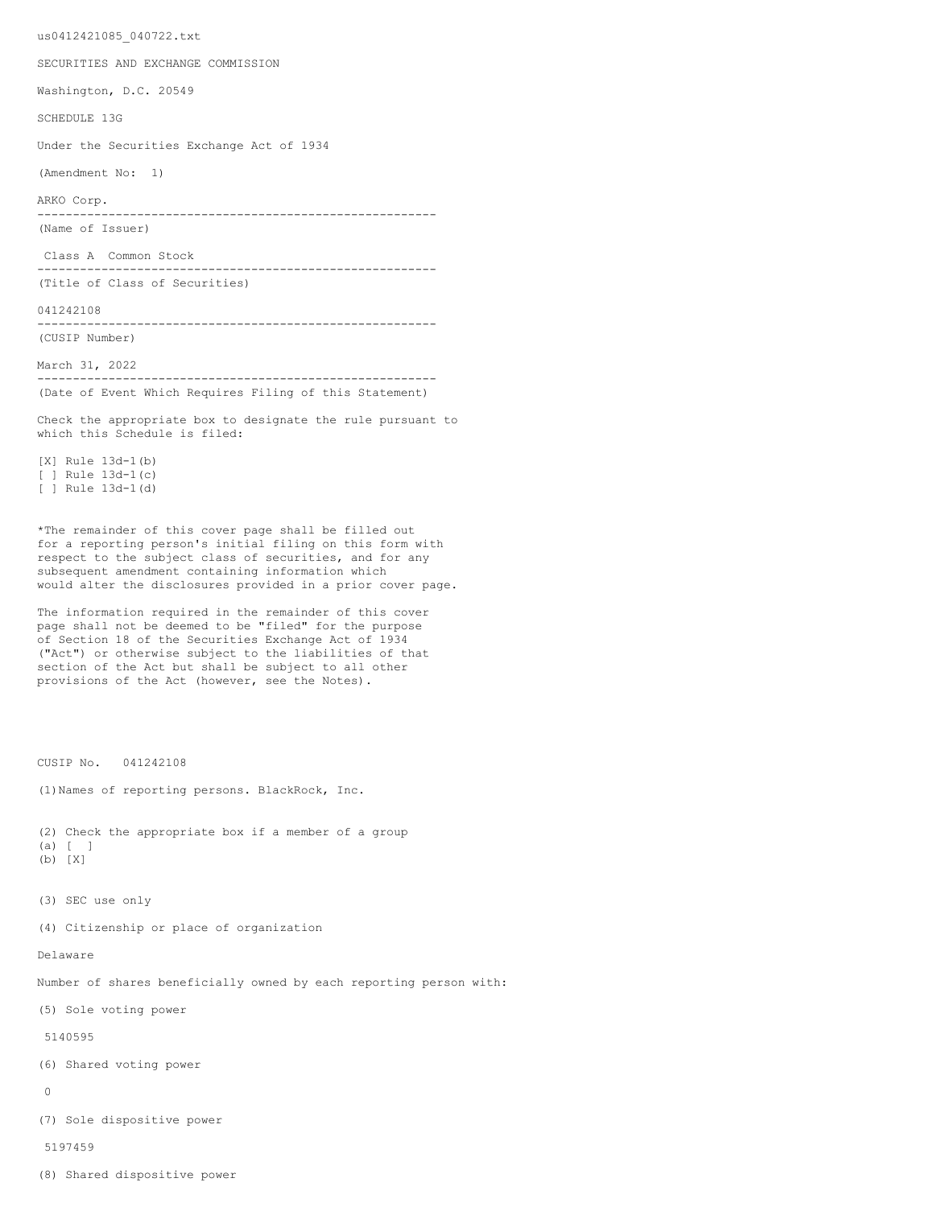us0412421085\_040722.txt

SECURITIES AND EXCHANGE COMMISSION

Washington, D.C. 20549

SCHEDULE 13G

Under the Securities Exchange Act of 1934

(Amendment No: 1)

## ARKO Corp.

-------------------------------------------------------- (Name of Issuer)

Class A Common Stock --------------------------------------------------------

(Title of Class of Securities)

## 041242108

-------------------------------------------------------- (CUSIP Number)

March 31, 2022

-------------------------------------------------------- (Date of Event Which Requires Filing of this Statement)

Check the appropriate box to designate the rule pursuant to which this Schedule is filed:

[X] Rule 13d-1(b) [ ] Rule 13d-1(c) [ ] Rule 13d-1(d)

\*The remainder of this cover page shall be filled out for a reporting person's initial filing on this form with respect to the subject class of securities, and for any subsequent amendment containing information which would alter the disclosures provided in a prior cover page.

The information required in the remainder of this cover page shall not be deemed to be "filed" for the purpose of Section 18 of the Securities Exchange Act of 1934 ("Act") or otherwise subject to the liabilities of that section of the Act but shall be subject to all other provisions of the Act (however, see the Notes).

```
CUSIP No. 041242108
```
(1)Names of reporting persons. BlackRock, Inc.

```
(2) Check the appropriate box if a member of a group
(a) [ ]
(b) [X]
```
- 
- (3) SEC use only

(4) Citizenship or place of organization

Delaware

Number of shares beneficially owned by each reporting person with:

(5) Sole voting power

5140595

(6) Shared voting power

 $\Omega$ 

(7) Sole dispositive power

5197459

(8) Shared dispositive power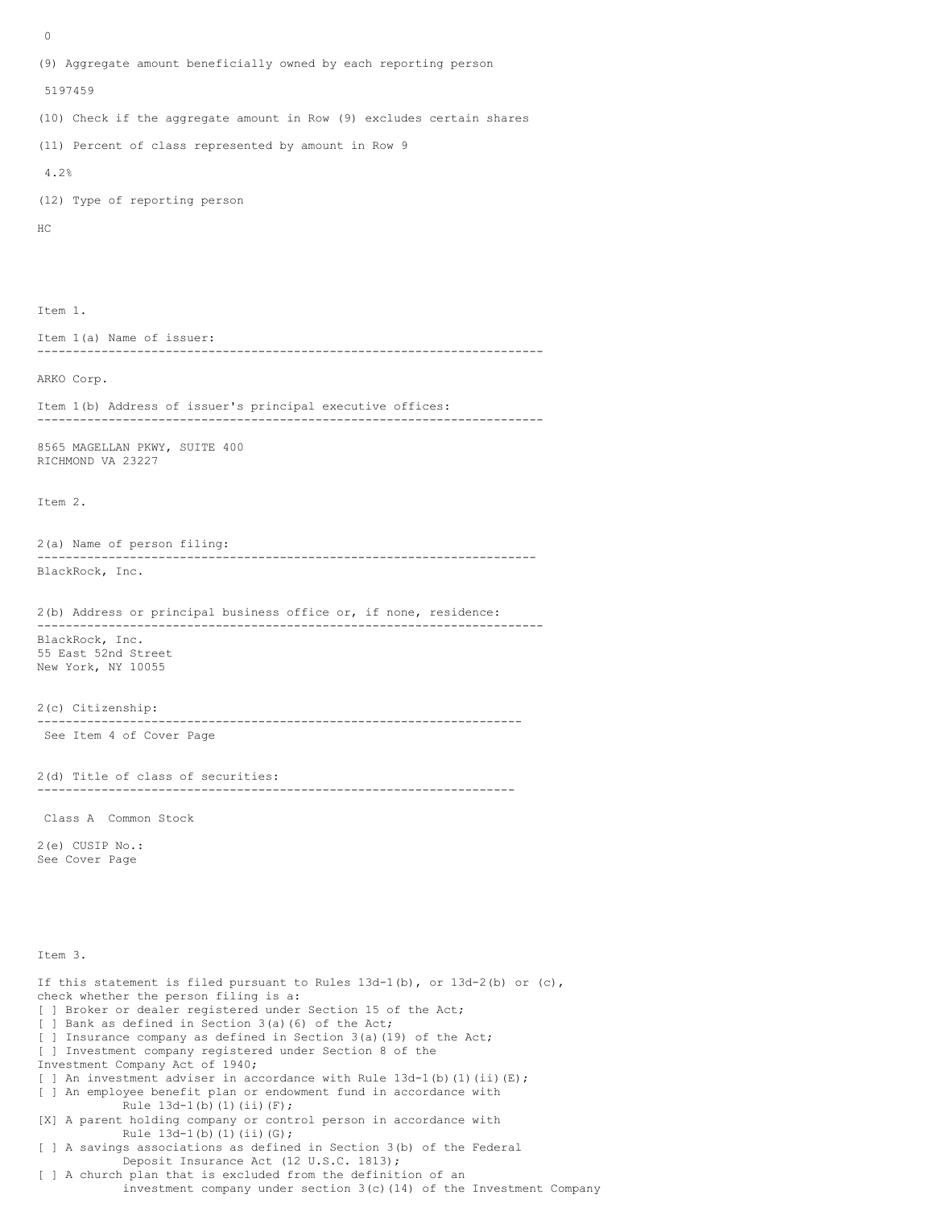0 (9) Aggregate amount beneficially owned by each reporting person 5197459 (10) Check if the aggregate amount in Row (9) excludes certain shares (11) Percent of class represented by amount in Row 9 4.2% (12) Type of reporting person HC Item 1. Item 1(a) Name of issuer: ----------------------------------------------------------------------- ARKO Corp. Item 1(b) Address of issuer's principal executive offices: ----------------------------------------------------------------------- 8565 MAGELLAN PKWY, SUITE 400 RICHMOND VA 23227 Item 2. 2(a) Name of person filing: ---------------------------------------------------------------------- BlackRock, Inc. 2(b) Address or principal business office or, if none, residence: ----------------------------------------------------------------------- BlackRock, Inc. 55 East 52nd Street New York, NY 10055 2(c) Citizenship: -------------------------------------------------------------------- See Item 4 of Cover Page 2(d) Title of class of securities: ------------------------------------------------------------------- Class A Common Stock 2(e) CUSIP No.: See Cover Page Item 3. If this statement is filed pursuant to Rules  $13d-1(b)$ , or  $13d-2(b)$  or  $(c)$ , check whether the person filing is a: [ ] Broker or dealer registered under Section 15 of the Act; [ ] Bank as defined in Section 3(a)(6) of the Act; [ ] Insurance company as defined in Section 3(a)(19) of the Act; [ ] Investment company registered under Section 8 of the Investment Company Act of 1940; [ ] An investment adviser in accordance with Rule  $13d-1$ (b)(1)(ii)(E); [ ] An employee benefit plan or endowment fund in accordance with Rule  $13d-1(b)$  (1)(ii)(F); [X] A parent holding company or control person in accordance with Rule 13d-1(b)(1)(ii)(G); [ ] A savings associations as defined in Section 3(b) of the Federal

Deposit Insurance Act (12 U.S.C. 1813); [ ] A church plan that is excluded from the definition of an investment company under section 3(c)(14) of the Investment Company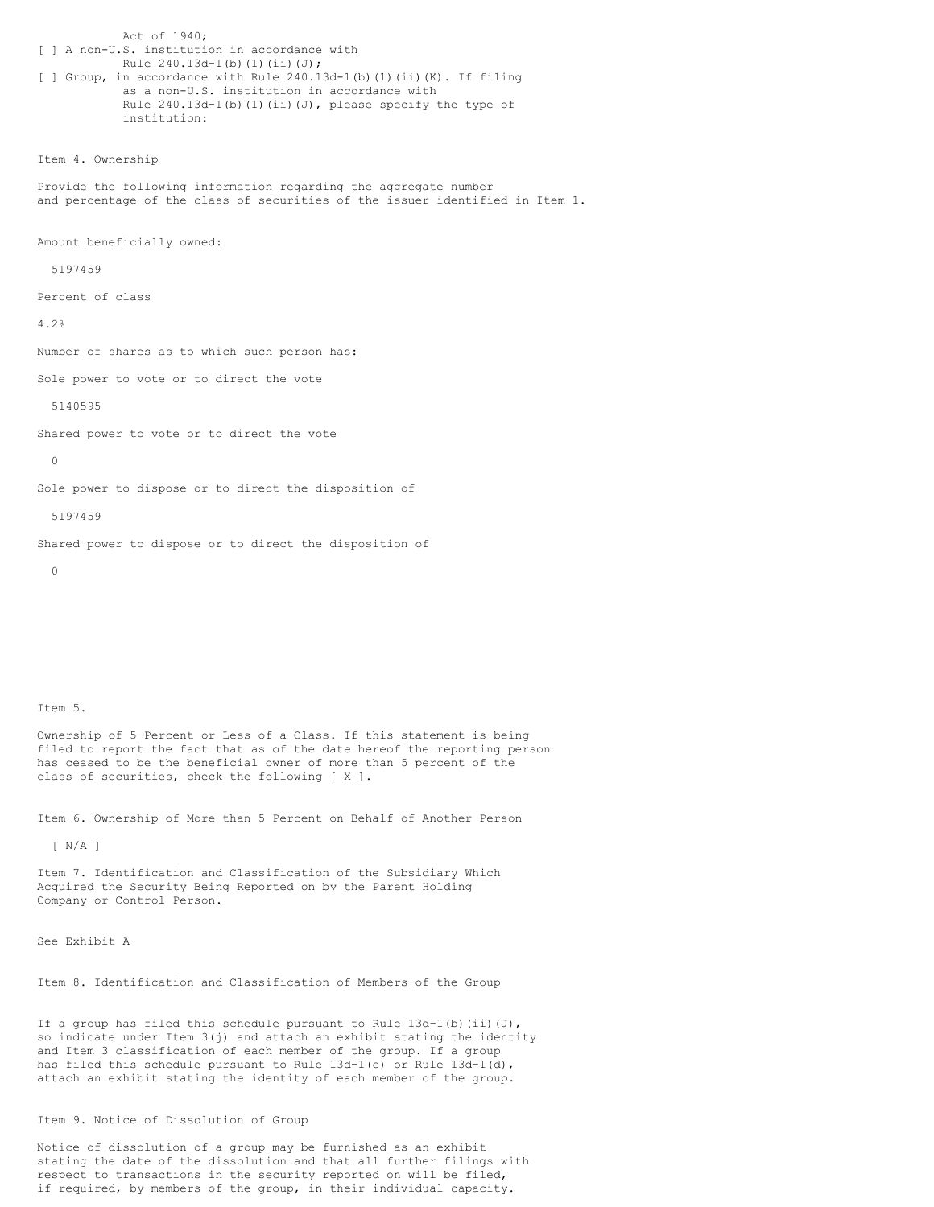Act of 1940; [ ] A non-U.S. institution in accordance with Rule 240.13d-1(b)(1)(ii)(J); [ ] Group, in accordance with Rule 240.13d-1(b)(1)(ii)(K). If filing as a non-U.S. institution in accordance with Rule  $240.13d-1$ (b)(1)(ii)(J), please specify the type of institution:

Item 4. Ownership

Provide the following information regarding the aggregate number and percentage of the class of securities of the issuer identified in Item 1.

Amount beneficially owned:

5197459

Percent of class

4.2%

Number of shares as to which such person has:

Sole power to vote or to direct the vote

5140595

Shared power to vote or to direct the vote

 $\cap$ 

Sole power to dispose or to direct the disposition of

5197459

Shared power to dispose or to direct the disposition of

 $\Omega$ 

## Item 5.

Ownership of 5 Percent or Less of a Class. If this statement is being filed to report the fact that as of the date hereof the reporting person has ceased to be the beneficial owner of more than 5 percent of the class of securities, check the following [ X ].

Item 6. Ownership of More than 5 Percent on Behalf of Another Person

[ N/A ]

Item 7. Identification and Classification of the Subsidiary Which Acquired the Security Being Reported on by the Parent Holding Company or Control Person.

See Exhibit A

Item 8. Identification and Classification of Members of the Group

If a group has filed this schedule pursuant to Rule 13d-1(b)(ii)(J), so indicate under Item 3(j) and attach an exhibit stating the identity and Item 3 classification of each member of the group. If a group has filed this schedule pursuant to Rule 13d-1(c) or Rule 13d-1(d), attach an exhibit stating the identity of each member of the group.

Item 9. Notice of Dissolution of Group

Notice of dissolution of a group may be furnished as an exhibit stating the date of the dissolution and that all further filings with respect to transactions in the security reported on will be filed, if required, by members of the group, in their individual capacity.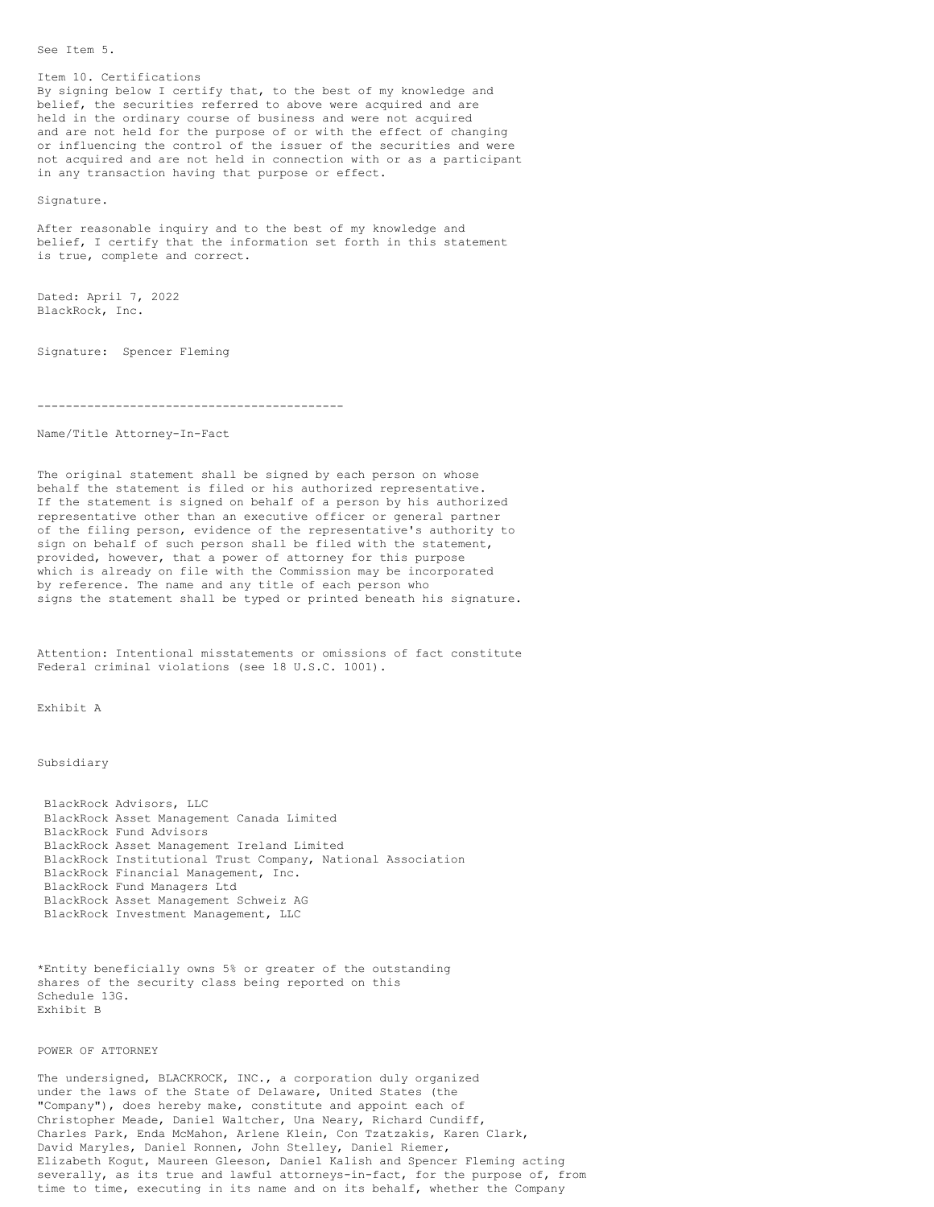See Item 5.

Item 10. Certifications By signing below I certify that, to the best of my knowledge and belief, the securities referred to above were acquired and are held in the ordinary course of business and were not acquired and are not held for the purpose of or with the effect of changing or influencing the control of the issuer of the securities and were not acquired and are not held in connection with or as a participant in any transaction having that purpose or effect.

Signature.

After reasonable inquiry and to the best of my knowledge and belief, I certify that the information set forth in this statement is true, complete and correct.

Dated: April 7, 2022 BlackRock, Inc.

Signature: Spencer Fleming

-------------------------------------------

## Name/Title Attorney-In-Fact

The original statement shall be signed by each person on whose behalf the statement is filed or his authorized representative. If the statement is signed on behalf of a person by his authorized representative other than an executive officer or general partner of the filing person, evidence of the representative's authority to sign on behalf of such person shall be filed with the statement, provided, however, that a power of attorney for this purpose which is already on file with the Commission may be incorporated by reference. The name and any title of each person who signs the statement shall be typed or printed beneath his signature.

Attention: Intentional misstatements or omissions of fact constitute Federal criminal violations (see 18 U.S.C. 1001).

Exhibit A

Subsidiary

BlackRock Advisors, LLC BlackRock Asset Management Canada Limited BlackRock Fund Advisors BlackRock Asset Management Ireland Limited BlackRock Institutional Trust Company, National Association BlackRock Financial Management, Inc. BlackRock Fund Managers Ltd BlackRock Asset Management Schweiz AG BlackRock Investment Management, LLC

\*Entity beneficially owns 5% or greater of the outstanding shares of the security class being reported on this Schedule 13G. Exhibit B

POWER OF ATTORNEY

The undersigned, BLACKROCK, INC., a corporation duly organized under the laws of the State of Delaware, United States (the "Company"), does hereby make, constitute and appoint each of Christopher Meade, Daniel Waltcher, Una Neary, Richard Cundiff, Charles Park, Enda McMahon, Arlene Klein, Con Tzatzakis, Karen Clark, David Maryles, Daniel Ronnen, John Stelley, Daniel Riemer, Elizabeth Kogut, Maureen Gleeson, Daniel Kalish and Spencer Fleming acting severally, as its true and lawful attorneys-in-fact, for the purpose of, from time to time, executing in its name and on its behalf, whether the Company